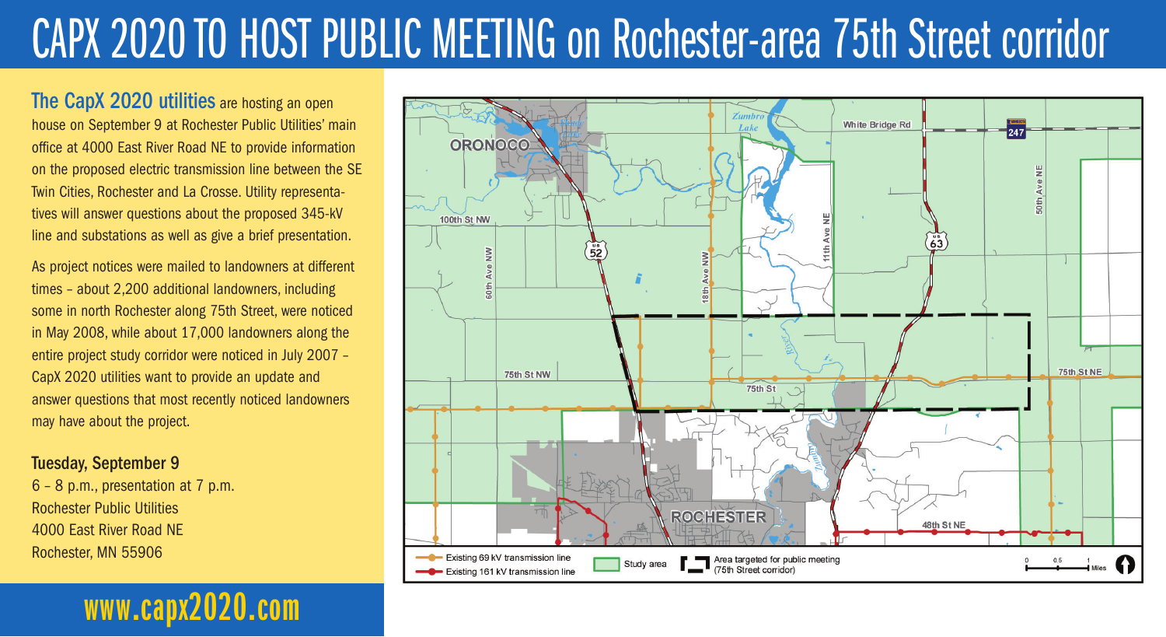# CAPX 2020 TO HOST PUBLIC MEETING on Rochester-area 75th Street corridor

The CapX 2020 utilities are hosting an open house on September 9 at Rochester Public Utilities' main office at 4000 East River Road NE to provide information on the proposed electric transmission line between the SE Twin Cities, Rochester and La Crosse. Utility representatives will answer questions about the proposed 345-kV line and substations as well as give a brief presentation.

As project notices were mailed to landowners at different times – about 2,200 additional landowners, including some in north Rochester along 75th Street, were noticed in May 2008, while about 17,000 landowners along the entire project study corridor were noticed in July 2007 – CapX 2020 utilities want to provide an update and answer questions that most recently noticed landowners may have about the project.

Tuesday, September 9

6 – 8 p.m., presentation at 7 p.m. Rochester Public Utilities 4000 East River Road NE Rochester, MN 55906

## **www.capx2020.com**